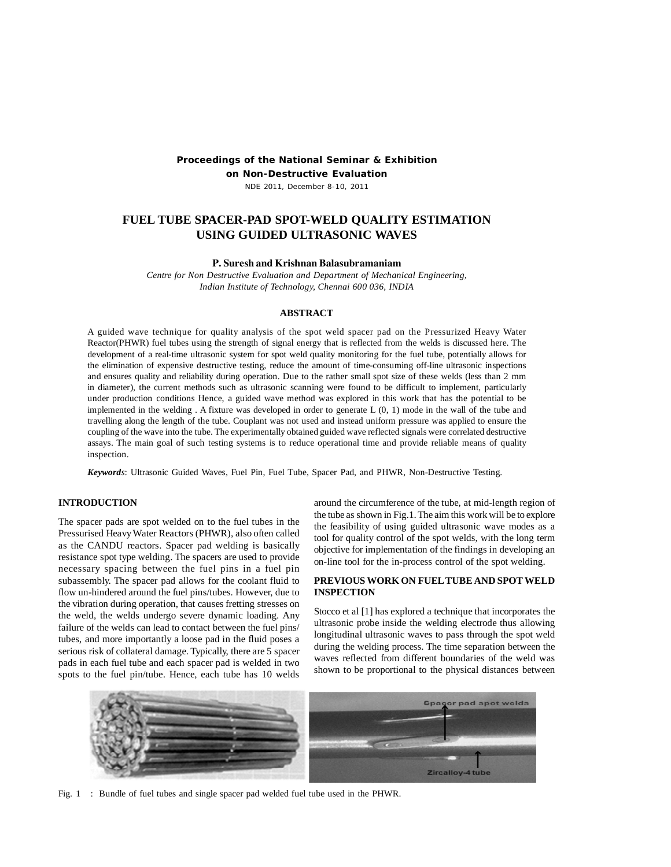# **Proceedings of the National Seminar & Exhibition**

**on Non-Destructive Evaluation**

NDE 2011, December 8-10, 2011

# **FUEL TUBE SPACER-PAD SPOT-WELD QUALITY ESTIMATION USING GUIDED ULTRASONIC WAVES**

## **P. Suresh and Krishnan Balasubramaniam**

*Centre for Non Destructive Evaluation and Department of Mechanical Engineering, Indian Institute of Technology, Chennai 600 036, INDIA*

## **ABSTRACT**

A guided wave technique for quality analysis of the spot weld spacer pad on the Pressurized Heavy Water Reactor(PHWR) fuel tubes using the strength of signal energy that is reflected from the welds is discussed here. The development of a real-time ultrasonic system for spot weld quality monitoring for the fuel tube, potentially allows for the elimination of expensive destructive testing, reduce the amount of time-consuming off-line ultrasonic inspections and ensures quality and reliability during operation. Due to the rather small spot size of these welds (less than 2 mm in diameter), the current methods such as ultrasonic scanning were found to be difficult to implement, particularly under production conditions Hence, a guided wave method was explored in this work that has the potential to be implemented in the welding . A fixture was developed in order to generate L (0, 1) mode in the wall of the tube and travelling along the length of the tube. Couplant was not used and instead uniform pressure was applied to ensure the coupling of the wave into the tube. The experimentally obtained guided wave reflected signals were correlated destructive assays. The main goal of such testing systems is to reduce operational time and provide reliable means of quality inspection.

*Keywords*: Ultrasonic Guided Waves, Fuel Pin, Fuel Tube, Spacer Pad, and PHWR, Non-Destructive Testing.

## **INTRODUCTION**

The spacer pads are spot welded on to the fuel tubes in the Pressurised Heavy Water Reactors (PHWR), also often called as the CANDU reactors. Spacer pad welding is basically resistance spot type welding. The spacers are used to provide necessary spacing between the fuel pins in a fuel pin subassembly. The spacer pad allows for the coolant fluid to flow un-hindered around the fuel pins/tubes. However, due to the vibration during operation, that causes fretting stresses on the weld, the welds undergo severe dynamic loading. Any failure of the welds can lead to contact between the fuel pins/ tubes, and more importantly a loose pad in the fluid poses a serious risk of collateral damage. Typically, there are 5 spacer pads in each fuel tube and each spacer pad is welded in two spots to the fuel pin/tube. Hence, each tube has 10 welds

around the circumference of the tube, at mid-length region of the tube as shown in Fig.1. The aim this work will be to explore the feasibility of using guided ultrasonic wave modes as a tool for quality control of the spot welds, with the long term objective for implementation of the findings in developing an on-line tool for the in-process control of the spot welding.

## **PREVIOUS WORK ON FUEL TUBE AND SPOT WELD INSPECTION**

Stocco et al [1] has explored a technique that incorporates the ultrasonic probe inside the welding electrode thus allowing longitudinal ultrasonic waves to pass through the spot weld during the welding process. The time separation between the waves reflected from different boundaries of the weld was shown to be proportional to the physical distances between



Fig. 1 : Bundle of fuel tubes and single spacer pad welded fuel tube used in the PHWR.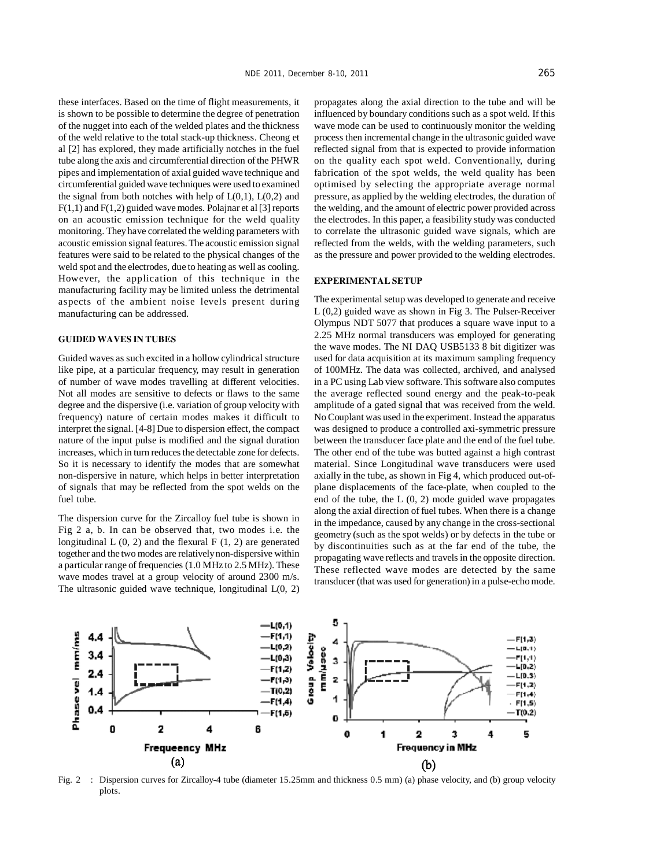these interfaces. Based on the time of flight measurements, it is shown to be possible to determine the degree of penetration of the nugget into each of the welded plates and the thickness of the weld relative to the total stack-up thickness. Cheong et al [2] has explored, they made artificially notches in the fuel tube along the axis and circumferential direction of the PHWR pipes and implementation of axial guided wave technique and circumferential guided wave techniques were used to examined the signal from both notches with help of  $L(0,1)$ ,  $L(0,2)$  and  $F(1,1)$  and  $F(1,2)$  guided wave modes. Polajnar et al [3] reports on an acoustic emission technique for the weld quality monitoring. They have correlated the welding parameters with acoustic emission signal features. The acoustic emission signal features were said to be related to the physical changes of the weld spot and the electrodes, due to heating as well as cooling. However, the application of this technique in the manufacturing facility may be limited unless the detrimental aspects of the ambient noise levels present during manufacturing can be addressed.

#### **GUIDED WAVES IN TUBES**

Guided waves as such excited in a hollow cylindrical structure like pipe, at a particular frequency, may result in generation of number of wave modes travelling at different velocities. Not all modes are sensitive to defects or flaws to the same degree and the dispersive (i.e. variation of group velocity with frequency) nature of certain modes makes it difficult to interpret the signal. [4-8] Due to dispersion effect, the compact nature of the input pulse is modified and the signal duration increases, which in turn reduces the detectable zone for defects. So it is necessary to identify the modes that are somewhat non-dispersive in nature, which helps in better interpretation of signals that may be reflected from the spot welds on the fuel tube.

The dispersion curve for the Zircalloy fuel tube is shown in Fig 2 a, b. In can be observed that, two modes i.e. the longitudinal  $L(0, 2)$  and the flexural  $F(1, 2)$  are generated together and the two modes are relatively non-dispersive within a particular range of frequencies (1.0 MHz to 2.5 MHz). These wave modes travel at a group velocity of around 2300 m/s. The ultrasonic guided wave technique, longitudinal  $L(0, 2)$ 

propagates along the axial direction to the tube and will be influenced by boundary conditions such as a spot weld. If this wave mode can be used to continuously monitor the welding process then incremental change in the ultrasonic guided wave reflected signal from that is expected to provide information on the quality each spot weld. Conventionally, during fabrication of the spot welds, the weld quality has been optimised by selecting the appropriate average normal pressure, as applied by the welding electrodes, the duration of the welding, and the amount of electric power provided across the electrodes. In this paper, a feasibility study was conducted to correlate the ultrasonic guided wave signals, which are reflected from the welds, with the welding parameters, such as the pressure and power provided to the welding electrodes.

#### **EXPERIMENTAL SETUP**

The experimental setup was developed to generate and receive L (0,2) guided wave as shown in Fig 3. The Pulser-Receiver Olympus NDT 5077 that produces a square wave input to a 2.25 MHz normal transducers was employed for generating the wave modes. The NI DAQ USB5133 8 bit digitizer was used for data acquisition at its maximum sampling frequency of 100MHz. The data was collected, archived, and analysed in a PC using Lab view software. This software also computes the average reflected sound energy and the peak-to-peak amplitude of a gated signal that was received from the weld. No Couplant was used in the experiment. Instead the apparatus was designed to produce a controlled axi-symmetric pressure between the transducer face plate and the end of the fuel tube. The other end of the tube was butted against a high contrast material. Since Longitudinal wave transducers were used axially in the tube, as shown in Fig 4, which produced out-ofplane displacements of the face-plate, when coupled to the end of the tube, the  $L(0, 2)$  mode guided wave propagates along the axial direction of fuel tubes. When there is a change in the impedance, caused by any change in the cross-sectional geometry (such as the spot welds) or by defects in the tube or by discontinuities such as at the far end of the tube, the propagating wave reflects and travels in the opposite direction. These reflected wave modes are detected by the same transducer (that was used for generation) in a pulse-echo mode.



Fig. 2 : Dispersion curves for Zircalloy-4 tube (diameter 15.25mm and thickness 0.5 mm) (a) phase velocity, and (b) group velocity plots.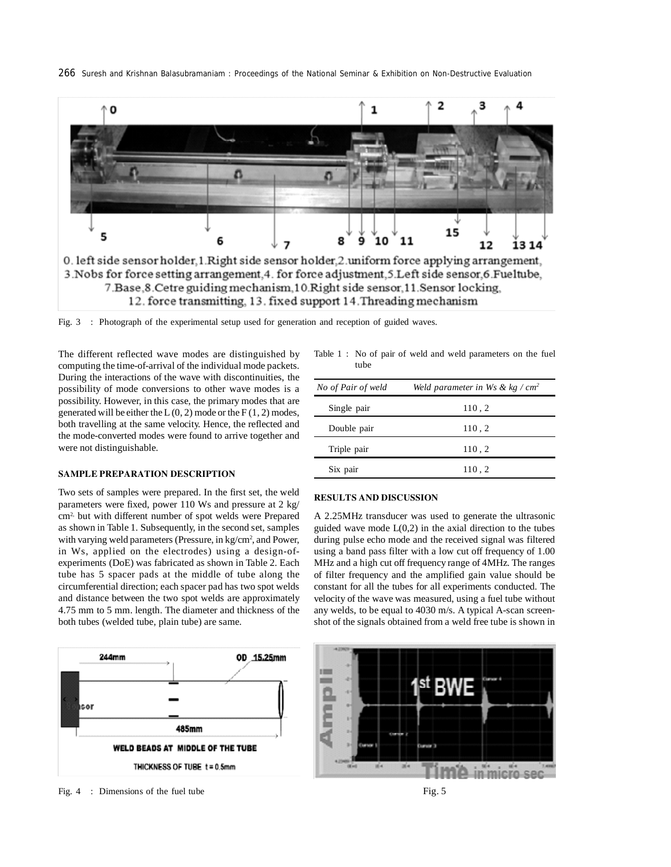



3. Nobs for force setting arrangement, 4. for force adjustment, 5. Left side sensor, 6. Fueltube, 7. Base, 8. Cetre guiding mechanism, 10. Right side sensor, 11. Sensor locking, 12. force transmitting, 13. fixed support 14. Threading mechanism

Fig. 3 : Photograph of the experimental setup used for generation and reception of guided waves.

The different reflected wave modes are distinguished by computing the time-of-arrival of the individual mode packets. During the interactions of the wave with discontinuities, the possibility of mode conversions to other wave modes is a possibility. However, in this case, the primary modes that are generated will be either the  $L(0, 2)$  mode or the  $F(1, 2)$  modes, both travelling at the same velocity. Hence, the reflected and the mode-converted modes were found to arrive together and were not distinguishable.

## **SAMPLE PREPARATION DESCRIPTION**

Two sets of samples were prepared. In the first set, the weld parameters were fixed, power 110 Ws and pressure at 2 kg/ cm2, but with different number of spot welds were Prepared as shown in Table 1. Subsequently, in the second set, samples with varying weld parameters (Pressure, in kg/cm<sup>2</sup>, and Power, in Ws, applied on the electrodes) using a design-ofexperiments (DoE) was fabricated as shown in Table 2. Each tube has 5 spacer pads at the middle of tube along the circumferential direction; each spacer pad has two spot welds and distance between the two spot welds are approximately 4.75 mm to 5 mm. length. The diameter and thickness of the both tubes (welded tube, plain tube) are same.



Fig. 4 : Dimensions of the fuel tube Fig. 5

Table 1 : No of pair of weld and weld parameters on the fuel tube

| No of Pair of weld | Weld parameter in Ws & $kg/cm2$ |
|--------------------|---------------------------------|
| Single pair        | 110,2                           |
| Double pair        | 110,2                           |
| Triple pair        | 110, 2                          |
| Six pair           | 110.2                           |

## **RESULTS AND DISCUSSION**

A 2.25MHz transducer was used to generate the ultrasonic guided wave mode  $L(0,2)$  in the axial direction to the tubes during pulse echo mode and the received signal was filtered using a band pass filter with a low cut off frequency of 1.00 MHz and a high cut off frequency range of 4MHz. The ranges of filter frequency and the amplified gain value should be constant for all the tubes for all experiments conducted. The velocity of the wave was measured, using a fuel tube without any welds, to be equal to 4030 m/s. A typical A-scan screenshot of the signals obtained from a weld free tube is shown in

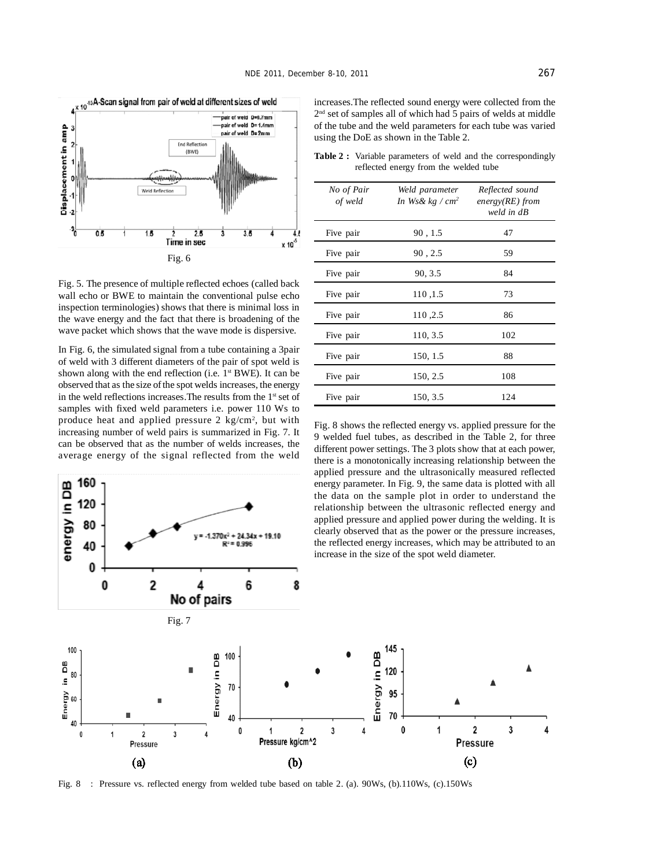

2<sup>nd</sup> set of samples all of which had 5 pairs of welds at middle of the tube and the weld parameters for each tube was varied using the DoE as shown in the Table 2.

increases.The reflected sound energy were collected from the

**Table 2 :** Variable parameters of weld and the correspondingly reflected energy from the welded tube

| Fig. 5. The presence of multiple reflected echoes (called back |
|----------------------------------------------------------------|
| wall echo or BWE to maintain the conventional pulse echo       |
| inspection terminologies) shows that there is minimal loss in  |
| the wave energy and the fact that there is broadening of the   |
| wave packet which shows that the wave mode is dispersive.      |
|                                                                |

In Fig. 6, the simulated signal from a tube containing a 3pair of weld with 3 different diameters of the pair of spot weld is shown along with the end reflection (i.e.  $1<sup>st</sup> BWE$ ). It can be observed that as the size of the spot welds increases, the energy in the weld reflections increases. The results from the 1<sup>st</sup> set of samples with fixed weld parameters i.e. power 110 Ws to produce heat and applied pressure  $2 \text{ kg/cm}^2$ , but with increasing number of weld pairs is summarized in Fig. 7. It can be observed that as the number of welds increases, the average energy of the signal reflected from the weld

 $v = -1.370x^2 + 24.34x$ 

 $R^2 = 0.996$ 

 $+1910$ 

160

120 80

40

energy in DB



Fig. 8 shows the reflected energy vs. applied pressure for the 9 welded fuel tubes, as described in the Table 2, for three different power settings. The 3 plots show that at each power, there is a monotonically increasing relationship between the applied pressure and the ultrasonically measured reflected energy parameter. In Fig. 9, the same data is plotted with all the data on the sample plot in order to understand the relationship between the ultrasonic reflected energy and applied pressure and applied power during the welding. It is clearly observed that as the power or the pressure increases, the reflected energy increases, which may be attributed to an increase in the size of the spot weld diameter.



Fig. 8 : Pressure vs. reflected energy from welded tube based on table 2. (a). 90Ws, (b).110Ws, (c).150Ws